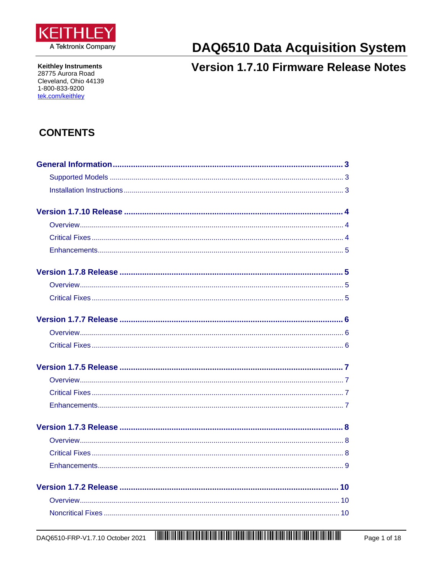

**Keithley Instruments** 28775 Aurora Road Cleveland, Ohio 44139 1-800-833-9200 tek.com/keithley

# **DAQ6510 Data Acquisition System**

# **Version 1.7.10 Firmware Release Notes**

# **CONTENTS**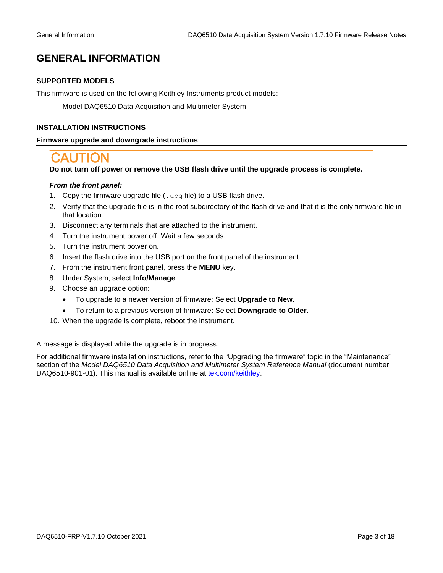# <span id="page-2-1"></span><span id="page-2-0"></span>**GENERAL INFORMATION**

#### *6B***SUPPORTED MODELS**

This firmware is used on the following Keithley Instruments product models:

Model DAQ6510 Data Acquisition and Multimeter System

#### <span id="page-2-2"></span>*7B***INSTALLATION INSTRUCTIONS**

#### *25B***Firmware upgrade and downgrade instructions**

**Do not turn off power or remove the USB flash drive until the upgrade process is complete.**

#### *From the front panel:*

- 1. Copy the firmware upgrade file (. upg file) to a USB flash drive.
- 2. Verify that the upgrade file is in the root subdirectory of the flash drive and that it is the only firmware file in that location.
- 3. Disconnect any terminals that are attached to the instrument.
- 4. Turn the instrument power off. Wait a few seconds.
- 5. Turn the instrument power on.
- 6. Insert the flash drive into the USB port on the front panel of the instrument.
- 7. From the instrument front panel, press the **MENU** key.
- 8. Under System, select **Info/Manage**.
- 9. Choose an upgrade option:
	- To upgrade to a newer version of firmware: Select **Upgrade to New**.
	- To return to a previous version of firmware: Select **Downgrade to Older**.
- 10. When the upgrade is complete, reboot the instrument.

A message is displayed while the upgrade is in progress.

For additional firmware installation instructions, refer to the "Upgrading the firmware" topic in the "Maintenance" section of the *Model DAQ6510 Data Acquisition and Multimeter System Reference Manual* (document number DAQ6510-901-01). This manual is available online at *[tek.com/keithley](https://www.tek.com/keithley)*.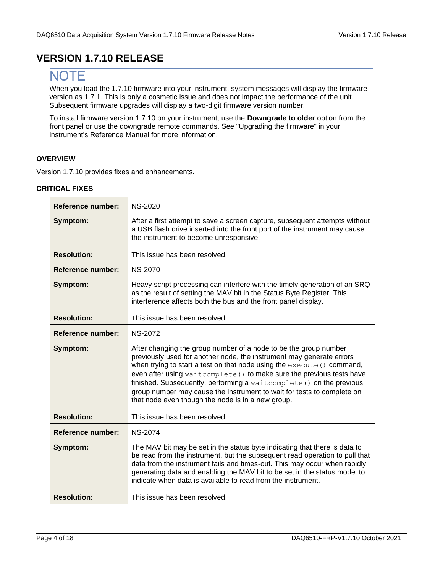# <span id="page-3-0"></span>**VERSION 1.7.10 RELEASE**

# **NOTE**

When you load the 1.7.10 firmware into your instrument, system messages will display the firmware version as 1.7.1. This is only a cosmetic issue and does not impact the performance of the unit. Subsequent firmware upgrades will display a two-digit firmware version number.

To install firmware version 1.7.10 on your instrument, use the **Downgrade to older** option from the front panel or use the downgrade remote commands. See "Upgrading the firmware" in your instrument's Reference Manual for more information.

#### <span id="page-3-1"></span>**OVERVIEW**

<span id="page-3-2"></span>Version 1.7.10 provides fixes and enhancements.

| <b>Reference number:</b> | <b>NS-2020</b>                                                                                                                                                                                                                                                                                                                                                                                                                                                                                     |
|--------------------------|----------------------------------------------------------------------------------------------------------------------------------------------------------------------------------------------------------------------------------------------------------------------------------------------------------------------------------------------------------------------------------------------------------------------------------------------------------------------------------------------------|
| Symptom:                 | After a first attempt to save a screen capture, subsequent attempts without<br>a USB flash drive inserted into the front port of the instrument may cause<br>the instrument to become unresponsive.                                                                                                                                                                                                                                                                                                |
| <b>Resolution:</b>       | This issue has been resolved.                                                                                                                                                                                                                                                                                                                                                                                                                                                                      |
| Reference number:        | <b>NS-2070</b>                                                                                                                                                                                                                                                                                                                                                                                                                                                                                     |
| Symptom:                 | Heavy script processing can interfere with the timely generation of an SRQ<br>as the result of setting the MAV bit in the Status Byte Register. This<br>interference affects both the bus and the front panel display.                                                                                                                                                                                                                                                                             |
| <b>Resolution:</b>       | This issue has been resolved.                                                                                                                                                                                                                                                                                                                                                                                                                                                                      |
| Reference number:        | <b>NS-2072</b>                                                                                                                                                                                                                                                                                                                                                                                                                                                                                     |
| Symptom:                 | After changing the group number of a node to be the group number<br>previously used for another node, the instrument may generate errors<br>when trying to start a test on that node using the execute () command,<br>even after using waitcomplete () to make sure the previous tests have<br>finished. Subsequently, performing a waitcomplete () on the previous<br>group number may cause the instrument to wait for tests to complete on<br>that node even though the node is in a new group. |
| <b>Resolution:</b>       | This issue has been resolved.                                                                                                                                                                                                                                                                                                                                                                                                                                                                      |
| Reference number:        | <b>NS-2074</b>                                                                                                                                                                                                                                                                                                                                                                                                                                                                                     |
| Symptom:                 | The MAV bit may be set in the status byte indicating that there is data to<br>be read from the instrument, but the subsequent read operation to pull that<br>data from the instrument fails and times-out. This may occur when rapidly<br>generating data and enabling the MAV bit to be set in the status model to<br>indicate when data is available to read from the instrument.                                                                                                                |
| <b>Resolution:</b>       | This issue has been resolved.                                                                                                                                                                                                                                                                                                                                                                                                                                                                      |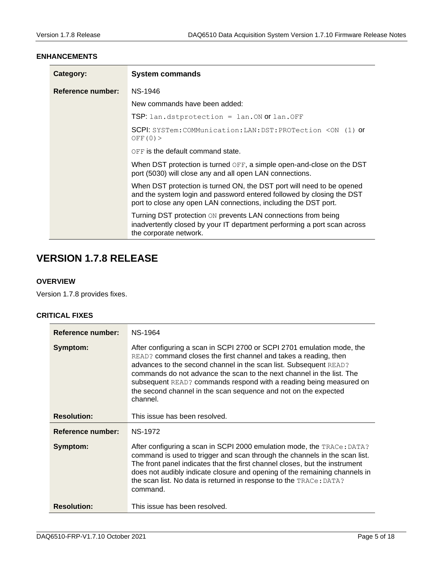#### <span id="page-4-0"></span>**ENHANCEMENTS**

| Category:         | <b>System commands</b>                                                                                                                                                                                            |
|-------------------|-------------------------------------------------------------------------------------------------------------------------------------------------------------------------------------------------------------------|
| Reference number: | NS-1946                                                                                                                                                                                                           |
|                   | New commands have been added:                                                                                                                                                                                     |
|                   | $TSP:$ lan.dstprotection = lan.ON or lan.OFF                                                                                                                                                                      |
|                   | SCPI: SYSTem: COMMunication: LAN: DST: PROTection <on (1)="" or<br="">OFF(0)</on>                                                                                                                                 |
|                   | OFF is the default command state.                                                                                                                                                                                 |
|                   | When DST protection is turned OFF, a simple open-and-close on the DST<br>port (5030) will close any and all open LAN connections.                                                                                 |
|                   | When DST protection is turned ON, the DST port will need to be opened<br>and the system login and password entered followed by closing the DST<br>port to close any open LAN connections, including the DST port. |
|                   | Turning DST protection ON prevents LAN connections from being<br>inadvertently closed by your IT department performing a port scan across<br>the corporate network.                                               |

# <span id="page-4-1"></span>**VERSION 1.7.8 RELEASE**

#### <span id="page-4-2"></span>**OVERVIEW**

<span id="page-4-3"></span>Version 1.7.8 provides fixes.

| Reference number:  | NS-1964                                                                                                                                                                                                                                                                                                                                                                                                                                       |
|--------------------|-----------------------------------------------------------------------------------------------------------------------------------------------------------------------------------------------------------------------------------------------------------------------------------------------------------------------------------------------------------------------------------------------------------------------------------------------|
| Symptom:           | After configuring a scan in SCPI 2700 or SCPI 2701 emulation mode, the<br>READ? command closes the first channel and takes a reading, then<br>advances to the second channel in the scan list. Subsequent READ?<br>commands do not advance the scan to the next channel in the list. The<br>subsequent READ? commands respond with a reading being measured on<br>the second channel in the scan sequence and not on the expected<br>channel. |
| <b>Resolution:</b> | This issue has been resolved.                                                                                                                                                                                                                                                                                                                                                                                                                 |
| Reference number:  | <b>NS-1972</b>                                                                                                                                                                                                                                                                                                                                                                                                                                |
| Symptom:           | After configuring a scan in SCPI 2000 emulation mode, the TRACe: DATA?<br>command is used to trigger and scan through the channels in the scan list.<br>The front panel indicates that the first channel closes, but the instrument<br>does not audibly indicate closure and opening of the remaining channels in<br>the scan list. No data is returned in response to the TRACe: DATA?<br>command.                                           |
| <b>Resolution:</b> | This issue has been resolved.                                                                                                                                                                                                                                                                                                                                                                                                                 |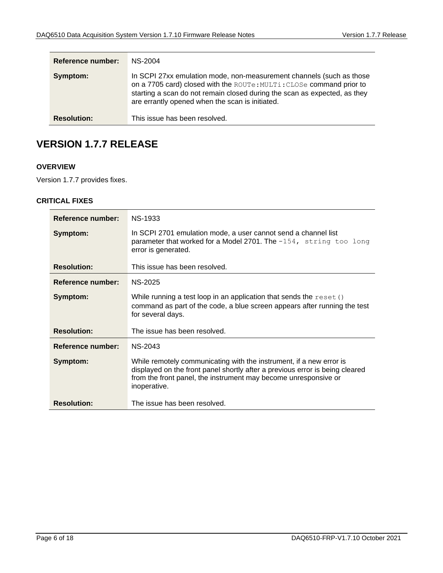| <b>Reference number:</b> | NS-2004                                                                                                                                                                                                                                                                      |
|--------------------------|------------------------------------------------------------------------------------------------------------------------------------------------------------------------------------------------------------------------------------------------------------------------------|
| Symptom:                 | In SCPI 27xx emulation mode, non-measurement channels (such as those<br>on a 7705 card) closed with the ROUTe: MULTi: CLOSe command prior to<br>starting a scan do not remain closed during the scan as expected, as they<br>are errantly opened when the scan is initiated. |
| <b>Resolution:</b>       | This issue has been resolved.                                                                                                                                                                                                                                                |

# <span id="page-5-0"></span>**VERSION 1.7.7 RELEASE**

#### <span id="page-5-1"></span>**OVERVIEW**

<span id="page-5-2"></span>Version 1.7.7 provides fixes.

| Reference number:  | <b>NS-1933</b>                                                                                                                                                                                                                         |
|--------------------|----------------------------------------------------------------------------------------------------------------------------------------------------------------------------------------------------------------------------------------|
| Symptom:           | In SCPI 2701 emulation mode, a user cannot send a channel list<br>parameter that worked for a Model 2701. The $-154$ , string too long<br>error is generated.                                                                          |
| <b>Resolution:</b> | This issue has been resolved.                                                                                                                                                                                                          |
| Reference number:  | <b>NS-2025</b>                                                                                                                                                                                                                         |
| Symptom:           | While running a test loop in an application that sends the $\text{reset}$ ()<br>command as part of the code, a blue screen appears after running the test<br>for several days.                                                         |
| <b>Resolution:</b> | The issue has been resolved.                                                                                                                                                                                                           |
| Reference number:  | <b>NS-2043</b>                                                                                                                                                                                                                         |
| Symptom:           | While remotely communicating with the instrument, if a new error is<br>displayed on the front panel shortly after a previous error is being cleared<br>from the front panel, the instrument may become unresponsive or<br>inoperative. |
| <b>Resolution:</b> | The issue has been resolved.                                                                                                                                                                                                           |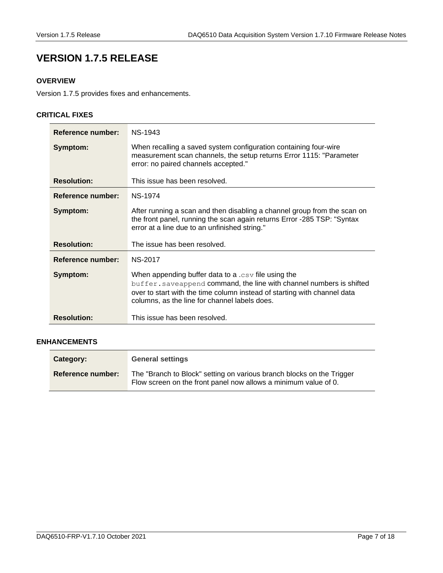# <span id="page-6-0"></span>**VERSION 1.7.5 RELEASE**

### <span id="page-6-1"></span>**OVERVIEW**

Version 1.7.5 provides fixes and enhancements.

#### <span id="page-6-2"></span>**CRITICAL FIXES**

| Reference number:  | <b>NS-1943</b>                                                                                                                                                                                                                                             |
|--------------------|------------------------------------------------------------------------------------------------------------------------------------------------------------------------------------------------------------------------------------------------------------|
| Symptom:           | When recalling a saved system configuration containing four-wire<br>measurement scan channels, the setup returns Error 1115: "Parameter<br>error: no paired channels accepted."                                                                            |
| <b>Resolution:</b> | This issue has been resolved.                                                                                                                                                                                                                              |
| Reference number:  | <b>NS-1974</b>                                                                                                                                                                                                                                             |
| Symptom:           | After running a scan and then disabling a channel group from the scan on<br>the front panel, running the scan again returns Error -285 TSP: "Syntax"<br>error at a line due to an unfinished string."                                                      |
| <b>Resolution:</b> | The issue has been resolved.                                                                                                                                                                                                                               |
| Reference number:  | <b>NS-2017</b>                                                                                                                                                                                                                                             |
| Symptom:           | When appending buffer data to a $.csv$ file using the<br>buffer. saveappend command, the line with channel numbers is shifted<br>over to start with the time column instead of starting with channel data<br>columns, as the line for channel labels does. |
| <b>Resolution:</b> | This issue has been resolved.                                                                                                                                                                                                                              |

#### <span id="page-6-3"></span>**ENHANCEMENTS**

| Category:         | <b>General settings</b>                                                                                                                  |
|-------------------|------------------------------------------------------------------------------------------------------------------------------------------|
| Reference number: | The "Branch to Block" setting on various branch blocks on the Trigger<br>Flow screen on the front panel now allows a minimum value of 0. |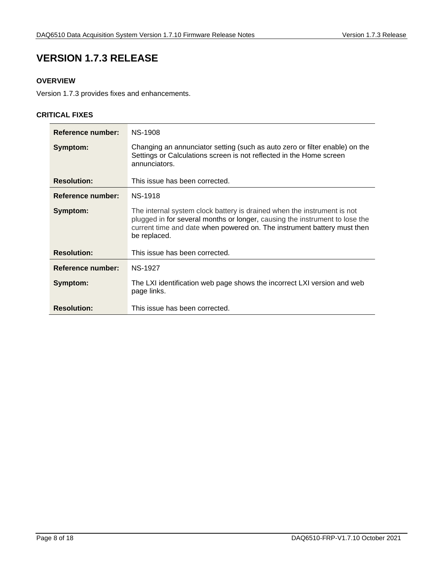# <span id="page-7-0"></span>**VERSION 1.7.3 RELEASE**

### <span id="page-7-1"></span>**OVERVIEW**

<span id="page-7-2"></span>Version 1.7.3 provides fixes and enhancements.

| Reference number:  | <b>NS-1908</b>                                                                                                                                                                                                                                    |
|--------------------|---------------------------------------------------------------------------------------------------------------------------------------------------------------------------------------------------------------------------------------------------|
| Symptom:           | Changing an annunciator setting (such as auto zero or filter enable) on the<br>Settings or Calculations screen is not reflected in the Home screen<br>annunciators.                                                                               |
| <b>Resolution:</b> | This issue has been corrected.                                                                                                                                                                                                                    |
| Reference number:  | <b>NS-1918</b>                                                                                                                                                                                                                                    |
| Symptom:           | The internal system clock battery is drained when the instrument is not<br>plugged in for several months or longer, causing the instrument to lose the<br>current time and date when powered on. The instrument battery must then<br>be replaced. |
| <b>Resolution:</b> | This issue has been corrected.                                                                                                                                                                                                                    |
| Reference number:  | <b>NS-1927</b>                                                                                                                                                                                                                                    |
| Symptom:           | The LXI identification web page shows the incorrect LXI version and web<br>page links.                                                                                                                                                            |
| <b>Resolution:</b> | This issue has been corrected.                                                                                                                                                                                                                    |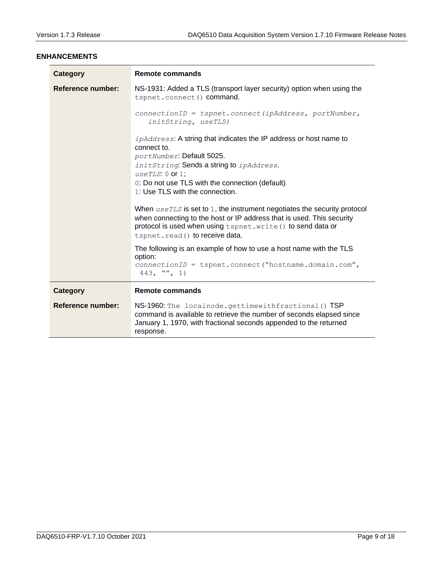#### <span id="page-8-0"></span>**ENHANCEMENTS**

| Category          | <b>Remote commands</b>                                                                                                                                                                                                                                                      |
|-------------------|-----------------------------------------------------------------------------------------------------------------------------------------------------------------------------------------------------------------------------------------------------------------------------|
| Reference number: | NS-1931: Added a TLS (transport layer security) option when using the<br>tspnet.connect() command.                                                                                                                                                                          |
|                   | $connectionID = tspnet. connect (ipAddress, portNumber,$<br>initString, useTLS)                                                                                                                                                                                             |
|                   | <i>ipAddress:</i> A string that indicates the IP address or host name to<br>connect to.<br>portNumber: Default 5025.<br>initString: Sends a string to ipAddress.<br>$useTLS: 0$ or 1;<br>0: Do not use TLS with the connection (default)<br>1: Use TLS with the connection. |
|                   | When $useTLS$ is set to 1, the instrument negotiates the security protocol<br>when connecting to the host or IP address that is used. This security<br>protocol is used when using tspnet. write () to send data or<br>tspnet.read() to receive data.                       |
|                   | The following is an example of how to use a host name with the TLS<br>option:<br>$connectionID = tspnet.connect("hostname.domain.com",$<br>$443,$ "", 1)                                                                                                                    |
| Category          | <b>Remote commands</b>                                                                                                                                                                                                                                                      |
| Reference number: | NS-1960: The localnode.gettimewithfractional () TSP<br>command is available to retrieve the number of seconds elapsed since<br>January 1, 1970, with fractional seconds appended to the returned<br>response.                                                               |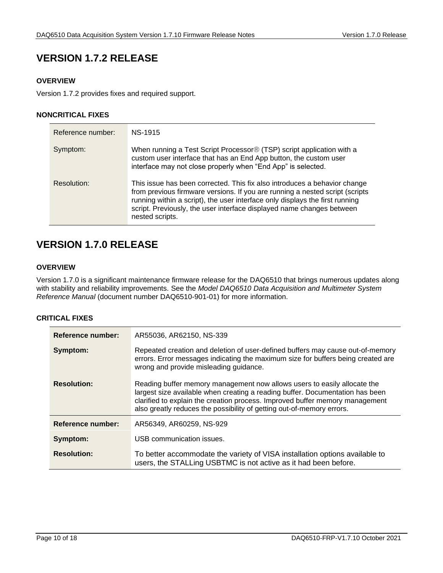# <span id="page-9-0"></span>**VERSION 1.7.2 RELEASE**

#### <span id="page-9-1"></span>**OVERVIEW**

Version 1.7.2 provides fixes and required support.

#### <span id="page-9-2"></span>**NONCRITICAL FIXES**

| Reference number: | NS-1915                                                                                                                                                                                                                                                                                                                               |
|-------------------|---------------------------------------------------------------------------------------------------------------------------------------------------------------------------------------------------------------------------------------------------------------------------------------------------------------------------------------|
| Symptom:          | When running a Test Script Processor <sup>®</sup> (TSP) script application with a<br>custom user interface that has an End App button, the custom user<br>interface may not close properly when "End App" is selected.                                                                                                                |
| Resolution:       | This issue has been corrected. This fix also introduces a behavior change<br>from previous firmware versions. If you are running a nested script (scripts<br>running within a script), the user interface only displays the first running<br>script. Previously, the user interface displayed name changes between<br>nested scripts. |

# <span id="page-9-3"></span>**VERSION 1.7.0 RELEASE**

#### <span id="page-9-4"></span>*8B***OVERVIEW**

Version 1.7.0 is a significant maintenance firmware release for the DAQ6510 that brings numerous updates along with stability and reliability improvements. See the *Model DAQ6510 Data Acquisition and Multimeter System Reference Manual* (document number DAQ6510-901-01) for more information.

<span id="page-9-5"></span>

| Reference number:        | AR55036, AR62150, NS-339                                                                                                                                                                                                                                                                                           |
|--------------------------|--------------------------------------------------------------------------------------------------------------------------------------------------------------------------------------------------------------------------------------------------------------------------------------------------------------------|
| Symptom:                 | Repeated creation and deletion of user-defined buffers may cause out-of-memory<br>errors. Error messages indicating the maximum size for buffers being created are<br>wrong and provide misleading guidance.                                                                                                       |
| <b>Resolution:</b>       | Reading buffer memory management now allows users to easily allocate the<br>largest size available when creating a reading buffer. Documentation has been<br>clarified to explain the creation process. Improved buffer memory management<br>also greatly reduces the possibility of getting out-of-memory errors. |
| <b>Reference number:</b> | AR56349, AR60259, NS-929                                                                                                                                                                                                                                                                                           |
| Symptom:                 | USB communication issues.                                                                                                                                                                                                                                                                                          |
| <b>Resolution:</b>       | To better accommodate the variety of VISA installation options available to<br>users, the STALLing USBTMC is not active as it had been before.                                                                                                                                                                     |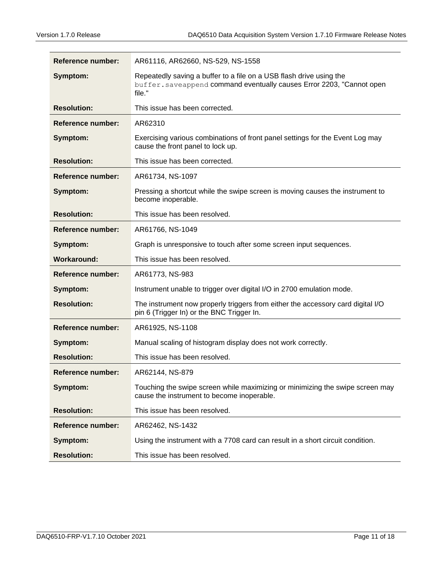| Reference number:        | AR61116, AR62660, NS-529, NS-1558                                                                                                                      |
|--------------------------|--------------------------------------------------------------------------------------------------------------------------------------------------------|
| Symptom:                 | Repeatedly saving a buffer to a file on a USB flash drive using the<br>buffer. saveappend command eventually causes Error 2203, "Cannot open<br>file." |
| <b>Resolution:</b>       | This issue has been corrected.                                                                                                                         |
| <b>Reference number:</b> | AR62310                                                                                                                                                |
| Symptom:                 | Exercising various combinations of front panel settings for the Event Log may<br>cause the front panel to lock up.                                     |
| <b>Resolution:</b>       | This issue has been corrected.                                                                                                                         |
| Reference number:        | AR61734, NS-1097                                                                                                                                       |
| Symptom:                 | Pressing a shortcut while the swipe screen is moving causes the instrument to<br>become inoperable.                                                    |
| <b>Resolution:</b>       | This issue has been resolved.                                                                                                                          |
| <b>Reference number:</b> | AR61766, NS-1049                                                                                                                                       |
| Symptom:                 | Graph is unresponsive to touch after some screen input sequences.                                                                                      |
| <b>Workaround:</b>       | This issue has been resolved.                                                                                                                          |
| <b>Reference number:</b> | AR61773, NS-983                                                                                                                                        |
| Symptom:                 | Instrument unable to trigger over digital I/O in 2700 emulation mode.                                                                                  |
| <b>Resolution:</b>       | The instrument now properly triggers from either the accessory card digital I/O<br>pin 6 (Trigger In) or the BNC Trigger In.                           |
| <b>Reference number:</b> | AR61925, NS-1108                                                                                                                                       |
| Symptom:                 | Manual scaling of histogram display does not work correctly.                                                                                           |
| <b>Resolution:</b>       | This issue has been resolved.                                                                                                                          |
| Reference number:        | AR62144, NS-879                                                                                                                                        |
| Symptom:                 | Touching the swipe screen while maximizing or minimizing the swipe screen may<br>cause the instrument to become inoperable.                            |
| <b>Resolution:</b>       | This issue has been resolved.                                                                                                                          |
| Reference number:        | AR62462, NS-1432                                                                                                                                       |
| Symptom:                 | Using the instrument with a 7708 card can result in a short circuit condition.                                                                         |
| <b>Resolution:</b>       | This issue has been resolved.                                                                                                                          |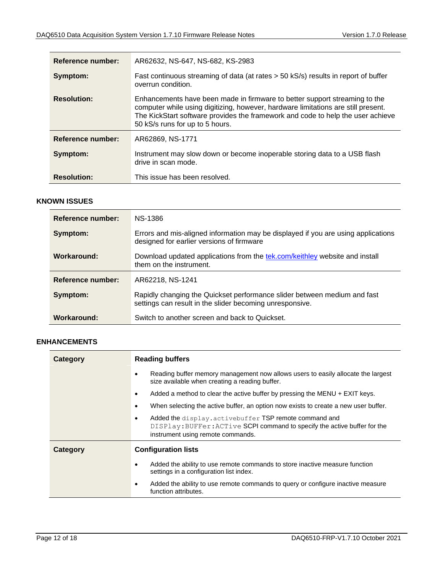| <b>Reference number:</b> | AR62632, NS-647, NS-682, KS-2983                                                                                                                                                                                                                                                      |
|--------------------------|---------------------------------------------------------------------------------------------------------------------------------------------------------------------------------------------------------------------------------------------------------------------------------------|
| Symptom:                 | Fast continuous streaming of data (at rates > 50 kS/s) results in report of buffer<br>overrun condition.                                                                                                                                                                              |
| <b>Resolution:</b>       | Enhancements have been made in firmware to better support streaming to the<br>computer while using digitizing, however, hardware limitations are still present.<br>The KickStart software provides the framework and code to help the user achieve<br>50 kS/s runs for up to 5 hours. |
| <b>Reference number:</b> | AR62869, NS-1771                                                                                                                                                                                                                                                                      |
| Symptom:                 | Instrument may slow down or become inoperable storing data to a USB flash<br>drive in scan mode.                                                                                                                                                                                      |
| <b>Resolution:</b>       | This issue has been resolved.                                                                                                                                                                                                                                                         |

#### <span id="page-11-0"></span>**KNOWN ISSUES**

| Reference number:        | NS-1386                                                                                                                              |
|--------------------------|--------------------------------------------------------------------------------------------------------------------------------------|
| Symptom:                 | Errors and mis-aligned information may be displayed if you are using applications<br>designed for earlier versions of firmware       |
| Workaround:              | Download updated applications from the tek.com/keithley website and install<br>them on the instrument.                               |
| <b>Reference number:</b> | AR62218, NS-1241                                                                                                                     |
| Symptom:                 | Rapidly changing the Quickset performance slider between medium and fast<br>settings can result in the slider becoming unresponsive. |
| Workaround:              | Switch to another screen and back to Quickset.                                                                                       |

#### <span id="page-11-1"></span>*1B***ENHANCEMENTS**

| Category | <b>Reading buffers</b>                                                                                                                                                  |
|----------|-------------------------------------------------------------------------------------------------------------------------------------------------------------------------|
|          | Reading buffer memory management now allows users to easily allocate the largest<br>size available when creating a reading buffer.                                      |
|          | Added a method to clear the active buffer by pressing the MENU $+$ EXIT keys.<br>٠                                                                                      |
|          | When selecting the active buffer, an option now exists to create a new user buffer.                                                                                     |
|          | Added the display.activebuffer TSP remote command and<br>DISPlay: BUFFer: ACTive SCPI command to specify the active buffer for the<br>instrument using remote commands. |
| Category | <b>Configuration lists</b>                                                                                                                                              |
|          | Added the ability to use remote commands to store inactive measure function<br>settings in a configuration list index.                                                  |
|          | Added the ability to use remote commands to query or configure inactive measure<br>function attributes.                                                                 |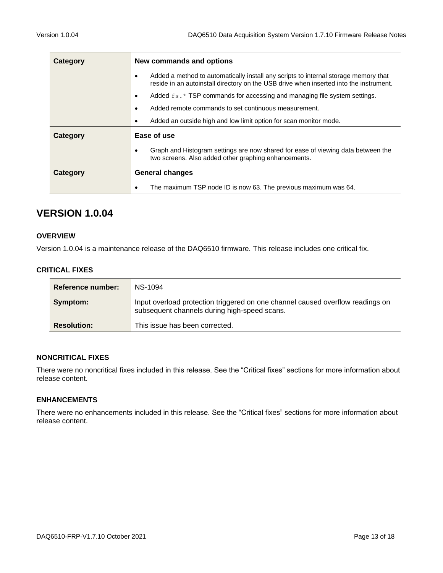| Category | New commands and options                                                                                                                                                      |
|----------|-------------------------------------------------------------------------------------------------------------------------------------------------------------------------------|
|          | Added a method to automatically install any scripts to internal storage memory that<br>reside in an autoinstall directory on the USB drive when inserted into the instrument. |
|          | Added $f_s$ . * TSP commands for accessing and managing file system settings.<br>$\bullet$                                                                                    |
|          | Added remote commands to set continuous measurement.                                                                                                                          |
|          | Added an outside high and low limit option for scan monitor mode.<br>$\bullet$                                                                                                |
| Category | Ease of use                                                                                                                                                                   |
|          | Graph and Histogram settings are now shared for ease of viewing data between the<br>two screens. Also added other graphing enhancements.                                      |
| Category | <b>General changes</b>                                                                                                                                                        |
|          | The maximum TSP node ID is now 63. The previous maximum was 64.                                                                                                               |

### <span id="page-12-0"></span>**VERSION 1.0.04**

#### <span id="page-12-1"></span>*12B***OVERVIEW**

Version 1.0.04 is a maintenance release of the DAQ6510 firmware. This release includes one critical fix.

#### <span id="page-12-2"></span>*13B***CRITICAL FIXES**

| Reference number:  | NS-1094                                                                                                                        |
|--------------------|--------------------------------------------------------------------------------------------------------------------------------|
| Symptom:           | Input overload protection triggered on one channel caused overflow readings on<br>subsequent channels during high-speed scans. |
| <b>Resolution:</b> | This issue has been corrected.                                                                                                 |

#### <span id="page-12-3"></span>*14B***NONCRITICAL FIXES**

There were no noncritical fixes included in this release. See the "Critical fixes" sections for more information about release content.

#### <span id="page-12-4"></span>*15B***ENHANCEMENTS**

There were no enhancements included in this release. See the "Critical fixes" sections for more information about release content.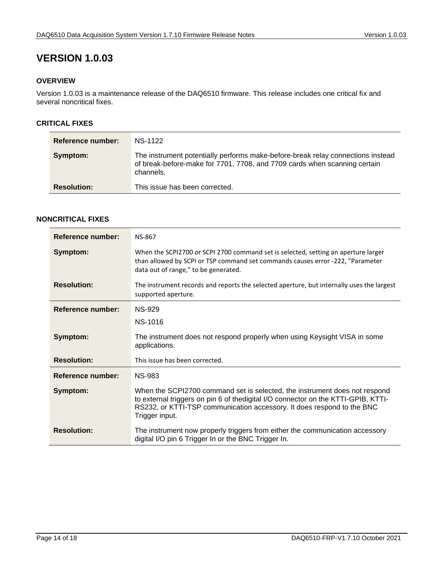# <span id="page-13-0"></span>**VERSION 1.0.03**

#### <span id="page-13-1"></span>*16B***OVERVIEW**

Version 1.0.03 is a maintenance release of the DAQ6510 firmware. This release includes one critical fix and several noncritical fixes.

#### <span id="page-13-2"></span>*17B***CRITICAL FIXES**

| Reference number:  | NS-1122                                                                                                                                                                   |
|--------------------|---------------------------------------------------------------------------------------------------------------------------------------------------------------------------|
| Symptom:           | The instrument potentially performs make-before-break relay connections instead<br>of break-before-make for 7701, 7708, and 7709 cards when scanning certain<br>channels. |
| <b>Resolution:</b> | This issue has been corrected.                                                                                                                                            |

#### <span id="page-13-3"></span>*18B***NONCRITICAL FIXES**

| Reference number:        | <b>NS-867</b>                                                                                                                                                                                                                                               |
|--------------------------|-------------------------------------------------------------------------------------------------------------------------------------------------------------------------------------------------------------------------------------------------------------|
| Symptom:                 | When the SCPI2700 or SCPI 2700 command set is selected, setting an aperture larger<br>than allowed by SCPI or TSP command set commands causes error -222, "Parameter<br>data out of range," to be generated.                                                |
| <b>Resolution:</b>       | The instrument records and reports the selected aperture, but internally uses the largest<br>supported aperture.                                                                                                                                            |
| <b>Reference number:</b> | NS-929                                                                                                                                                                                                                                                      |
|                          | NS-1016                                                                                                                                                                                                                                                     |
| Symptom:                 | The instrument does not respond properly when using Keysight VISA in some<br>applications.                                                                                                                                                                  |
| <b>Resolution:</b>       | This issue has been corrected.                                                                                                                                                                                                                              |
| <b>Reference number:</b> | <b>NS-983</b>                                                                                                                                                                                                                                               |
| Symptom:                 | When the SCPI2700 command set is selected, the instrument does not respond<br>to external triggers on pin 6 of thedigital I/O connector on the KTTI-GPIB, KTTI-<br>RS232, or KTTI-TSP communication accessory. It does respond to the BNC<br>Trigger input. |
| <b>Resolution:</b>       | The instrument now properly triggers from either the communication accessory<br>digital I/O pin 6 Trigger In or the BNC Trigger In.                                                                                                                         |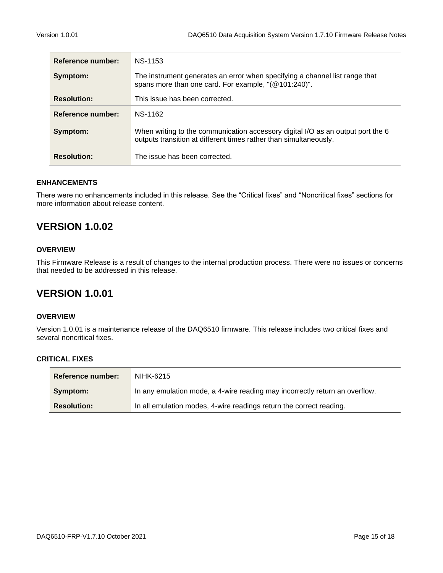| Reference number:  | NS-1153                                                                                                                                              |
|--------------------|------------------------------------------------------------------------------------------------------------------------------------------------------|
| Symptom:           | The instrument generates an error when specifying a channel list range that<br>spans more than one card. For example, "(@101:240)".                  |
| <b>Resolution:</b> | This issue has been corrected.                                                                                                                       |
| Reference number:  | NS-1162                                                                                                                                              |
| Symptom:           | When writing to the communication accessory digital I/O as an output port the 6<br>outputs transition at different times rather than simultaneously. |
| <b>Resolution:</b> | The issue has been corrected.                                                                                                                        |

#### <span id="page-14-0"></span>*19B***ENHANCEMENTS**

There were no enhancements included in this release. See the "Critical fixes" and "Noncritical fixes" sections for more information about release content.

## <span id="page-14-1"></span>**VERSION 1.0.02**

#### <span id="page-14-2"></span>*20B***OVERVIEW**

This Firmware Release is a result of changes to the internal production process. There were no issues or concerns that needed to be addressed in this release.

### <span id="page-14-3"></span>**VERSION 1.0.01**

#### <span id="page-14-4"></span>*21B***OVERVIEW**

<span id="page-14-5"></span>Version 1.0.01 is a maintenance release of the DAQ6510 firmware. This release includes two critical fixes and several noncritical fixes.

| <b>Reference number:</b> | NIHK-6215                                                                   |
|--------------------------|-----------------------------------------------------------------------------|
| Symptom:                 | In any emulation mode, a 4-wire reading may incorrectly return an overflow. |
| <b>Resolution:</b>       | In all emulation modes, 4-wire readings return the correct reading.         |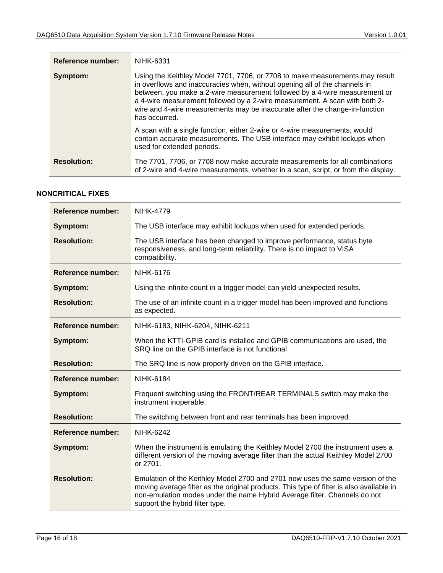| <b>Reference number:</b> | NIHK-6331                                                                                                                                                                                                                                                                                                                                                                                                              |
|--------------------------|------------------------------------------------------------------------------------------------------------------------------------------------------------------------------------------------------------------------------------------------------------------------------------------------------------------------------------------------------------------------------------------------------------------------|
| Symptom:                 | Using the Keithley Model 7701, 7706, or 7708 to make measurements may result<br>in overflows and inaccuracies when, without opening all of the channels in<br>between, you make a 2-wire measurement followed by a 4-wire measurement or<br>a 4-wire measurement followed by a 2-wire measurement. A scan with both 2-<br>wire and 4-wire measurements may be inaccurate after the change-in-function<br>has occurred. |
|                          | A scan with a single function, either 2-wire or 4-wire measurements, would<br>contain accurate measurements. The USB interface may exhibit lockups when<br>used for extended periods.                                                                                                                                                                                                                                  |
| <b>Resolution:</b>       | The 7701, 7706, or 7708 now make accurate measurements for all combinations<br>of 2-wire and 4-wire measurements, whether in a scan, script, or from the display.                                                                                                                                                                                                                                                      |

#### <span id="page-15-0"></span>*23B***NONCRITICAL FIXES**

| <b>Reference number:</b> | <b>NIHK-4779</b>                                                                                                                                                                                                                                                                           |
|--------------------------|--------------------------------------------------------------------------------------------------------------------------------------------------------------------------------------------------------------------------------------------------------------------------------------------|
| Symptom:                 | The USB interface may exhibit lockups when used for extended periods.                                                                                                                                                                                                                      |
| <b>Resolution:</b>       | The USB interface has been changed to improve performance, status byte<br>responsiveness, and long-term reliability. There is no impact to VISA<br>compatibility.                                                                                                                          |
| Reference number:        | NIHK-6176                                                                                                                                                                                                                                                                                  |
| Symptom:                 | Using the infinite count in a trigger model can yield unexpected results.                                                                                                                                                                                                                  |
| <b>Resolution:</b>       | The use of an infinite count in a trigger model has been improved and functions<br>as expected.                                                                                                                                                                                            |
| Reference number:        | NIHK-6183, NIHK-6204, NIHK-6211                                                                                                                                                                                                                                                            |
| Symptom:                 | When the KTTI-GPIB card is installed and GPIB communications are used, the<br>SRQ line on the GPIB interface is not functional                                                                                                                                                             |
| <b>Resolution:</b>       | The SRQ line is now properly driven on the GPIB interface.                                                                                                                                                                                                                                 |
| Reference number:        | <b>NIHK-6184</b>                                                                                                                                                                                                                                                                           |
| Symptom:                 | Frequent switching using the FRONT/REAR TERMINALS switch may make the<br>instrument inoperable.                                                                                                                                                                                            |
| <b>Resolution:</b>       | The switching between front and rear terminals has been improved.                                                                                                                                                                                                                          |
| <b>Reference number:</b> | <b>NIHK-6242</b>                                                                                                                                                                                                                                                                           |
| Symptom:                 | When the instrument is emulating the Keithley Model 2700 the instrument uses a<br>different version of the moving average filter than the actual Keithley Model 2700<br>or 2701.                                                                                                           |
| <b>Resolution:</b>       | Emulation of the Keithley Model 2700 and 2701 now uses the same version of the<br>moving average filter as the original products. This type of filter is also available in<br>non-emulation modes under the name Hybrid Average filter. Channels do not<br>support the hybrid filter type. |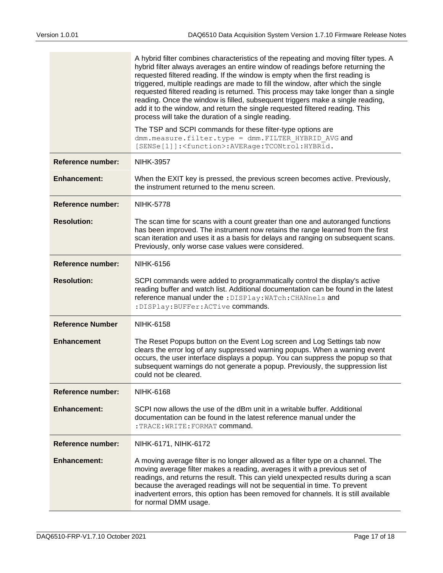|                          | A hybrid filter combines characteristics of the repeating and moving filter types. A<br>hybrid filter always averages an entire window of readings before returning the<br>requested filtered reading. If the window is empty when the first reading is<br>triggered, multiple readings are made to fill the window, after which the single<br>requested filtered reading is returned. This process may take longer than a single<br>reading. Once the window is filled, subsequent triggers make a single reading,<br>add it to the window, and return the single requested filtered reading. This<br>process will take the duration of a single reading.<br>The TSP and SCPI commands for these filter-type options are<br>dmm.measure.filter.type = dmm.FILTER HYBRID AVG and |
|--------------------------|----------------------------------------------------------------------------------------------------------------------------------------------------------------------------------------------------------------------------------------------------------------------------------------------------------------------------------------------------------------------------------------------------------------------------------------------------------------------------------------------------------------------------------------------------------------------------------------------------------------------------------------------------------------------------------------------------------------------------------------------------------------------------------|
|                          | [SENSe[1]]: <function>:AVERage:TCONtrol:HYBRid.</function>                                                                                                                                                                                                                                                                                                                                                                                                                                                                                                                                                                                                                                                                                                                       |
| <b>Reference number:</b> | <b>NIHK-3957</b>                                                                                                                                                                                                                                                                                                                                                                                                                                                                                                                                                                                                                                                                                                                                                                 |
| <b>Enhancement:</b>      | When the EXIT key is pressed, the previous screen becomes active. Previously,<br>the instrument returned to the menu screen.                                                                                                                                                                                                                                                                                                                                                                                                                                                                                                                                                                                                                                                     |
| <b>Reference number:</b> | <b>NIHK-5778</b>                                                                                                                                                                                                                                                                                                                                                                                                                                                                                                                                                                                                                                                                                                                                                                 |
| <b>Resolution:</b>       | The scan time for scans with a count greater than one and autoranged functions<br>has been improved. The instrument now retains the range learned from the first<br>scan iteration and uses it as a basis for delays and ranging on subsequent scans.<br>Previously, only worse case values were considered.                                                                                                                                                                                                                                                                                                                                                                                                                                                                     |
| <b>Reference number:</b> | <b>NIHK-6156</b>                                                                                                                                                                                                                                                                                                                                                                                                                                                                                                                                                                                                                                                                                                                                                                 |
| <b>Resolution:</b>       | SCPI commands were added to programmatically control the display's active<br>reading buffer and watch list. Additional documentation can be found in the latest<br>reference manual under the : DISPlay: WATch: CHANnels and<br>: DISPlay: BUFFer: ACTive commands.                                                                                                                                                                                                                                                                                                                                                                                                                                                                                                              |
| <b>Reference Number</b>  | <b>NIHK-6158</b>                                                                                                                                                                                                                                                                                                                                                                                                                                                                                                                                                                                                                                                                                                                                                                 |
| <b>Enhancement</b>       | The Reset Popups button on the Event Log screen and Log Settings tab now<br>clears the error log of any suppressed warning popups. When a warning event<br>occurs, the user interface displays a popup. You can suppress the popup so that<br>subsequent warnings do not generate a popup. Previously, the suppression list<br>could not be cleared.                                                                                                                                                                                                                                                                                                                                                                                                                             |
| Reference number:        | <b>NIHK-6168</b>                                                                                                                                                                                                                                                                                                                                                                                                                                                                                                                                                                                                                                                                                                                                                                 |
| <b>Enhancement:</b>      | SCPI now allows the use of the dBm unit in a writable buffer. Additional<br>documentation can be found in the latest reference manual under the<br>$:$ TRACE: WRITE: FORMAT command.                                                                                                                                                                                                                                                                                                                                                                                                                                                                                                                                                                                             |
| <b>Reference number:</b> | NIHK-6171, NIHK-6172                                                                                                                                                                                                                                                                                                                                                                                                                                                                                                                                                                                                                                                                                                                                                             |
| <b>Enhancement:</b>      | A moving average filter is no longer allowed as a filter type on a channel. The<br>moving average filter makes a reading, averages it with a previous set of<br>readings, and returns the result. This can yield unexpected results during a scan<br>because the averaged readings will not be sequential in time. To prevent<br>inadvertent errors, this option has been removed for channels. It is still available<br>for normal DMM usage.                                                                                                                                                                                                                                                                                                                                   |